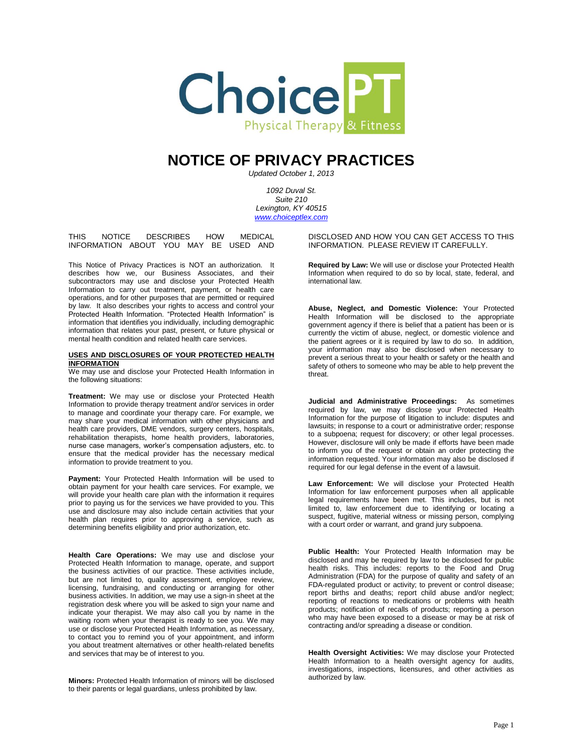

# **NOTICE OF PRIVACY PRACTICES**

*Updated October 1, 2013*

*1092 Duval St. Suite 210 Lexington, KY 40515 [www.choiceptlex.com](http://www.choiceptlex.com/)*

THIS NOTICE DESCRIBES HOW MEDICAL INFORMATION ABOUT YOU MAY BE USED AND

This Notice of Privacy Practices is NOT an authorization. It describes how we, our Business Associates, and their subcontractors may use and disclose your Protected Health Information to carry out treatment, payment, or health care operations, and for other purposes that are permitted or required by law. It also describes your rights to access and control your Protected Health Information. "Protected Health Information" is information that identifies you individually, including demographic information that relates your past, present, or future physical or mental health condition and related health care services.

## **USES AND DISCLOSURES OF YOUR PROTECTED HEALTH INFORMATION**

We may use and disclose your Protected Health Information in the following situations:

**Treatment:** We may use or disclose your Protected Health Information to provide therapy treatment and/or services in order to manage and coordinate your therapy care. For example, we may share your medical information with other physicians and health care providers, DME vendors, surgery centers, hospitals, rehabilitation therapists, home health providers, laboratories, nurse case managers, worker's compensation adjusters, etc. to ensure that the medical provider has the necessary medical information to provide treatment to you.

**Payment:** Your Protected Health Information will be used to obtain payment for your health care services. For example, we will provide your health care plan with the information it requires prior to paying us for the services we have provided to you. This use and disclosure may also include certain activities that your health plan requires prior to approving a service, such as determining benefits eligibility and prior authorization, etc.

**Health Care Operations:** We may use and disclose your Protected Health Information to manage, operate, and support the business activities of our practice. These activities include, but are not limited to, quality assessment, employee review, licensing, fundraising, and conducting or arranging for other business activities. In addition, we may use a sign-in sheet at the registration desk where you will be asked to sign your name and indicate your therapist. We may also call you by name in the waiting room when your therapist is ready to see you. We may use or disclose your Protected Health Information, as necessary, to contact you to remind you of your appointment, and inform you about treatment alternatives or other health-related benefits and services that may be of interest to you.

**Minors:** Protected Health Information of minors will be disclosed to their parents or legal guardians, unless prohibited by law.

DISCLOSED AND HOW YOU CAN GET ACCESS TO THIS INFORMATION. PLEASE REVIEW IT CAREFULLY.

**Required by Law:** We will use or disclose your Protected Health Information when required to do so by local, state, federal, and international law.

**Abuse, Neglect, and Domestic Violence:** Your Protected Health Information will be disclosed to the appropriate government agency if there is belief that a patient has been or is currently the victim of abuse, neglect, or domestic violence and the patient agrees or it is required by law to do so. In addition, your information may also be disclosed when necessary to prevent a serious threat to your health or safety or the health and safety of others to someone who may be able to help prevent the threat.

**Judicial and Administrative Proceedings:** As sometimes required by law, we may disclose your Protected Health Information for the purpose of litigation to include: disputes and lawsuits; in response to a court or administrative order; response to a subpoena; request for discovery; or other legal processes. However, disclosure will only be made if efforts have been made to inform you of the request or obtain an order protecting the information requested. Your information may also be disclosed if required for our legal defense in the event of a lawsuit.

**Law Enforcement:** We will disclose your Protected Health Information for law enforcement purposes when all applicable legal requirements have been met. This includes, but is not limited to, law enforcement due to identifying or locating a suspect, fugitive, material witness or missing person, complying with a court order or warrant, and grand jury subpoena.

**Public Health:** Your Protected Health Information may be disclosed and may be required by law to be disclosed for public health risks. This includes: reports to the Food and Drug Administration (FDA) for the purpose of quality and safety of an FDA-regulated product or activity; to prevent or control disease; report births and deaths; report child abuse and/or neglect; reporting of reactions to medications or problems with health products; notification of recalls of products; reporting a person who may have been exposed to a disease or may be at risk of contracting and/or spreading a disease or condition.

**Health Oversight Activities:** We may disclose your Protected Health Information to a health oversight agency for audits, investigations, inspections, licensures, and other activities as authorized by law.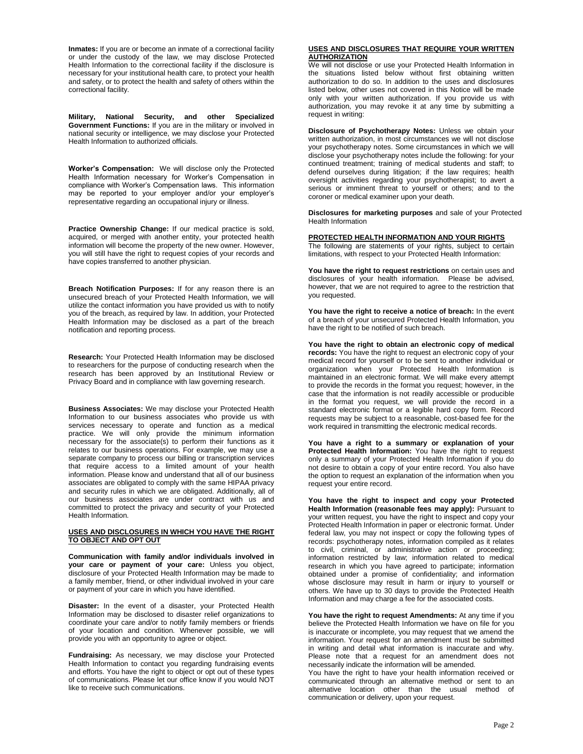**Inmates:** If you are or become an inmate of a correctional facility or under the custody of the law, we may disclose Protected Health Information to the correctional facility if the disclosure is necessary for your institutional health care, to protect your health and safety, or to protect the health and safety of others within the correctional facility.

**Military, National Security, and other Specialized Government Functions:** If you are in the military or involved in national security or intelligence, we may disclose your Protected Health Information to authorized officials.

**Worker's Compensation:** We will disclose only the Protected Health Information necessary for Worker's Compensation in compliance with Worker's Compensation laws. This information may be reported to your employer and/or your employer's representative regarding an occupational injury or illness.

**Practice Ownership Change:** If our medical practice is sold, acquired, or merged with another entity, your protected health information will become the property of the new owner. However, you will still have the right to request copies of your records and have copies transferred to another physician.

**Breach Notification Purposes:** If for any reason there is an unsecured breach of your Protected Health Information, we will utilize the contact information you have provided us with to notify you of the breach, as required by law. In addition, your Protected Health Information may be disclosed as a part of the breach notification and reporting process.

**Research:** Your Protected Health Information may be disclosed to researchers for the purpose of conducting research when the research has been approved by an Institutional Review or Privacy Board and in compliance with law governing research.

**Business Associates:** We may disclose your Protected Health Information to our business associates who provide us with services necessary to operate and function as a medical practice. We will only provide the minimum information necessary for the associate(s) to perform their functions as it relates to our business operations. For example, we may use a separate company to process our billing or transcription services that require access to a limited amount of your health information. Please know and understand that all of our business associates are obligated to comply with the same HIPAA privacy and security rules in which we are obligated. Additionally, all of our business associates are under contract with us and committed to protect the privacy and security of your Protected Health Information.

#### **USES AND DISCLOSURES IN WHICH YOU HAVE THE RIGHT TO OBJECT AND OPT OUT**

**Communication with family and/or individuals involved in your care or payment of your care:** Unless you object, disclosure of your Protected Health Information may be made to a family member, friend, or other individual involved in your care or payment of your care in which you have identified.

**Disaster:** In the event of a disaster, your Protected Health Information may be disclosed to disaster relief organizations to coordinate your care and/or to notify family members or friends of your location and condition. Whenever possible, we will provide you with an opportunity to agree or object.

**Fundraising:** As necessary, we may disclose your Protected Health Information to contact you regarding fundraising events and efforts. You have the right to object or opt out of these types of communications. Please let our office know if you would NOT like to receive such communications.

#### **USES AND DISCLOSURES THAT REQUIRE YOUR WRITTEN AUTHORIZATION**

We will not disclose or use your Protected Health Information in the situations listed below without first obtaining written authorization to do so. In addition to the uses and disclosures listed below, other uses not covered in this Notice will be made only with your written authorization. If you provide us with authorization, you may revoke it at any time by submitting a request in writing:

**Disclosure of Psychotherapy Notes:** Unless we obtain your written authorization, in most circumstances we will not disclose your psychotherapy notes. Some circumstances in which we will disclose your psychotherapy notes include the following: for your continued treatment; training of medical students and staff; to defend ourselves during litigation; if the law requires; health oversight activities regarding your psychotherapist; to avert a serious or imminent threat to yourself or others; and to the coroner or medical examiner upon your death.

**Disclosures for marketing purposes** and sale of your Protected Health Information

## **PROTECTED HEALTH INFORMATION AND YOUR RIGHTS**

The following are statements of your rights, subject to certain limitations, with respect to your Protected Health Information:

**You have the right to request restrictions** on certain uses and disclosures of your health information. Please be advised, however, that we are not required to agree to the restriction that you requested.

**You have the right to receive a notice of breach:** In the event of a breach of your unsecured Protected Health Information, you have the right to be notified of such breach.

**You have the right to obtain an electronic copy of medical records:** You have the right to request an electronic copy of your medical record for yourself or to be sent to another individual or organization when your Protected Health Information is maintained in an electronic format. We will make every attempt to provide the records in the format you request; however, in the case that the information is not readily accessible or producible in the format you request, we will provide the record in a standard electronic format or a legible hard copy form. Record requests may be subject to a reasonable, cost-based fee for the work required in transmitting the electronic medical records.

**You have a right to a summary or explanation of your Protected Health Information:** You have the right to request only a summary of your Protected Health Information if you do not desire to obtain a copy of your entire record. You also have the option to request an explanation of the information when you request your entire record.

**You have the right to inspect and copy your Protected Health Information (reasonable fees may apply):** Pursuant to your written request, you have the right to inspect and copy your Protected Health Information in paper or electronic format. Under federal law, you may not inspect or copy the following types of records: psychotherapy notes, information compiled as it relates to civil, criminal, or administrative action or proceeding; information restricted by law; information related to medical research in which you have agreed to participate; information obtained under a promise of confidentiality; and information whose disclosure may result in harm or injury to yourself or others. We have up to 30 days to provide the Protected Health Information and may charge a fee for the associated costs.

**You have the right to request Amendments:** At any time if you believe the Protected Health Information we have on file for you is inaccurate or incomplete, you may request that we amend the information. Your request for an amendment must be submitted in writing and detail what information is inaccurate and why. Please note that a request for an amendment does not necessarily indicate the information will be amended.

You have the right to have your health information received or communicated through an alternative method or sent to an alternative location other than the usual method of communication or delivery, upon your request.